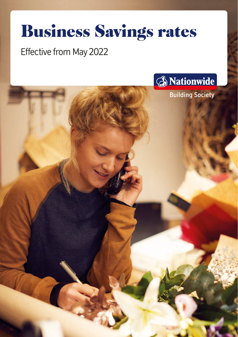# Business Savings rates

### Effective from May 2022



Building Society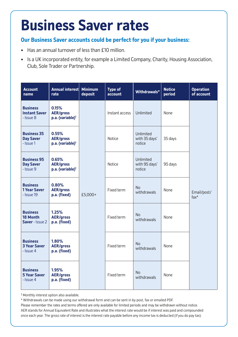## **Business Saver rates**

#### **Our Business Saver accounts could be perfect for you if your business:**

- Has an annual turnover of less than £10 million.
- Is a UK incorporated entity, for example a Limited Company, Charity, Housing Association, Club, Sole Trader or Partnership.

| <b>Account</b><br>name                               | Annual interest<br>rate                                   | <b>Minimum</b><br>deposit | <b>Type of</b><br>account | Withdrawals*                                | <b>Notice</b><br>period | <b>Operation</b><br>of account |
|------------------------------------------------------|-----------------------------------------------------------|---------------------------|---------------------------|---------------------------------------------|-------------------------|--------------------------------|
| <b>Business</b><br><b>Instant Saver</b><br>- Issue 8 | 0.15%<br><b>AER/gross</b><br>p.a. (variable) <sup>1</sup> | £5,000+                   | Instant access            | Unlimited                                   | None                    | Email/post/<br>$\text{fax}^*$  |
| <b>Business 35</b><br><b>Day Saver</b><br>- Issue 1  | 0.55%<br><b>AER/gross</b><br>p.a. (variable) <sup>1</sup> |                           | <b>Notice</b>             | <b>Unlimited</b><br>with 35 days'<br>notice | 35 days                 |                                |
| <b>Business 95</b><br><b>Day Saver</b><br>- Issue 9  | 0.65%<br><b>AER/gross</b><br>p.a. (variable) <sup>1</sup> |                           | <b>Notice</b>             | Unlimited<br>with 95 days'<br>notice        | 95 days                 |                                |
| <b>Business</b><br><b>1 Year Saver</b><br>- Issue 19 | 0.80%<br><b>AER/gross</b><br>p.a. (fixed)                 |                           | Fixed term                | <b>No</b><br>withdrawals                    | None                    |                                |
| <b>Business</b><br>18 Month<br>Saver - Issue 2       | 1.25%<br><b>AER/gross</b><br>p.a. (fixed)                 |                           | Fixed term                | <b>No</b><br>withdrawals                    | None                    |                                |
| <b>Business</b><br><b>3 Year Saver</b><br>- Issue 4  | 1.80%<br><b>AER/gross</b><br>p.a. (fixed)                 |                           | Fixed term                | No<br>withdrawals                           | None                    |                                |
| <b>Business</b><br><b>5 Year Saver</b><br>- Issue 4  | 1.95%<br><b>AER/gross</b><br>p.a. (fixed)                 |                           | Fixed term                | <b>No</b><br>withdrawals                    | None                    |                                |

1 Monthly interest option also available.

\* Withdrawals can be made using our withdrawal form and can be sent in by post, fax or emailed PDF.

Please remember the rates and terms offered are only available for limited periods and may be withdrawn without notice. AER stands for Annual Equivalent Rate and illustrates what the interest rate would be if interest was paid and compounded once each year. The gross rate of interest is the interest rate payable before any income tax is deducted (if you do pay tax).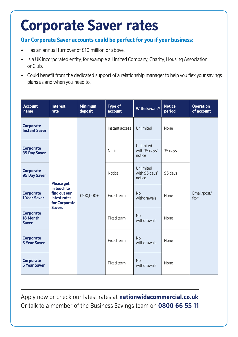## **Corporate Saver rates**

#### **Our Corporate Saver accounts could be perfect for you if your business:**

- Has an annual turnover of £10 million or above.
- Is a UK incorporated entity, for example a Limited Company, Charity, Housing Association or Club.
- Could benefit from the dedicated support of a relationship manager to help you flex your savings plans as and when you need to.

| <b>Account</b><br>name                       | <b>Interest</b><br>rate                                                                            | <b>Minimum</b><br>deposit | <b>Type of</b><br>account | Withdrawals*                         | <b>Notice</b><br>period | <b>Operation</b><br>of account      |
|----------------------------------------------|----------------------------------------------------------------------------------------------------|---------------------------|---------------------------|--------------------------------------|-------------------------|-------------------------------------|
| Corporate<br><b>Instant Saver</b>            | <b>Please get</b><br>in touch to<br>find out our<br>latest rates<br>for Corporate<br><b>Savers</b> | £100,000+                 | Instant access            | Unlimited                            | None                    | Email/post/<br>$\text{fax}^{\star}$ |
| <b>Corporate</b><br>35 Day Saver             |                                                                                                    |                           | Notice                    | Unlimited<br>with 35 days'<br>notice | 35 days                 |                                     |
| <b>Corporate</b><br>95 Day Saver             |                                                                                                    |                           | Notice                    | Unlimited<br>with 95 days'<br>notice | 95 days                 |                                     |
| <b>Corporate</b><br><b>1 Year Saver</b>      |                                                                                                    |                           | Fixed term                | <b>No</b><br>withdrawals             | None                    |                                     |
| <b>Corporate</b><br>18 Month<br><b>Saver</b> |                                                                                                    |                           | Fixed term                | <b>No</b><br>withdrawals             | None                    |                                     |
| <b>Corporate</b><br><b>3 Year Saver</b>      |                                                                                                    |                           | Fixed term                | No<br>withdrawals                    | None                    |                                     |
| <b>Corporate</b><br><b>5 Year Saver</b>      |                                                                                                    |                           | Fixed term                | <b>No</b><br>withdrawals             | None                    |                                     |

Apply now or check our latest rates at **<nationwidecommercial.co.uk>** Or talk to a member of the Business Savings team on **0800 66 55 11**